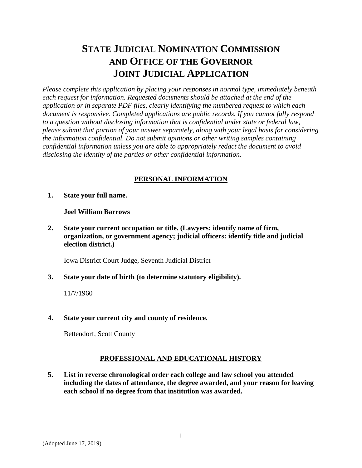# **STATE JUDICIAL NOMINATION COMMISSION AND OFFICE OF THE GOVERNOR JOINT JUDICIAL APPLICATION**

*Please complete this application by placing your responses in normal type, immediately beneath each request for information. Requested documents should be attached at the end of the application or in separate PDF files, clearly identifying the numbered request to which each document is responsive. Completed applications are public records. If you cannot fully respond to a question without disclosing information that is confidential under state or federal law, please submit that portion of your answer separately, along with your legal basis for considering the information confidential. Do not submit opinions or other writing samples containing confidential information unless you are able to appropriately redact the document to avoid disclosing the identity of the parties or other confidential information.*

# **PERSONAL INFORMATION**

**1. State your full name.**

#### **Joel William Barrows**

**2. State your current occupation or title. (Lawyers: identify name of firm, organization, or government agency; judicial officers: identify title and judicial election district.)**

Iowa District Court Judge, Seventh Judicial District

**3. State your date of birth (to determine statutory eligibility).** 

11/7/1960

**4. State your current city and county of residence.**

Bettendorf, Scott County

# **PROFESSIONAL AND EDUCATIONAL HISTORY**

**5. List in reverse chronological order each college and law school you attended including the dates of attendance, the degree awarded, and your reason for leaving each school if no degree from that institution was awarded.**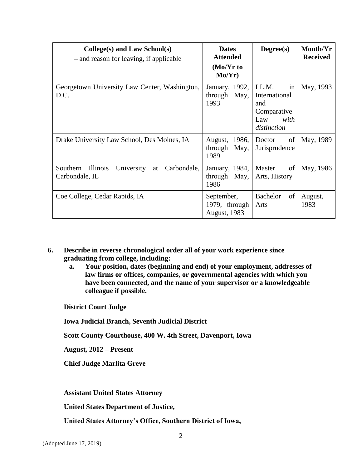| $Collect(s)$ and Law School(s)<br>- and reason for leaving, if applicable        | <b>Dates</b><br><b>Attended</b><br>$(Mo/Yr$ to<br>Mo/Yr) | Degree(s)                                                                        | Month/Yr<br><b>Received</b> |
|----------------------------------------------------------------------------------|----------------------------------------------------------|----------------------------------------------------------------------------------|-----------------------------|
| Georgetown University Law Center, Washington,<br>D.C.                            | January, 1992,<br>through<br>May,<br>1993                | LL.M.<br>in<br>International<br>and<br>Comparative<br>with<br>Law<br>distinction | May, 1993                   |
| Drake University Law School, Des Moines, IA                                      | 1986,<br>August,<br>through<br>May,<br>1989              | of<br>Doctor<br>Jurisprudence                                                    | May, 1989                   |
| Southern<br><i>Illinois</i><br>University<br>Carbondale,<br>at<br>Carbondale, IL | January, 1984,<br>through<br>May,<br>1986                | Master<br>of<br>Arts, History                                                    | May, 1986                   |
| Coe College, Cedar Rapids, IA                                                    | September,<br>1979, through<br>August, 1983              | Bachelor<br>of<br>Arts                                                           | August,<br>1983             |

**6. Describe in reverse chronological order all of your work experience since graduating from college, including:**

**a. Your position, dates (beginning and end) of your employment, addresses of law firms or offices, companies, or governmental agencies with which you have been connected, and the name of your supervisor or a knowledgeable colleague if possible.**

**District Court Judge**

**Iowa Judicial Branch, Seventh Judicial District**

**Scott County Courthouse, 400 W. 4th Street, Davenport, Iowa**

**August, 2012 – Present**

**Chief Judge Marlita Greve**

**Assistant United States Attorney**

**United States Department of Justice,** 

**United States Attorney's Office, Southern District of Iowa,**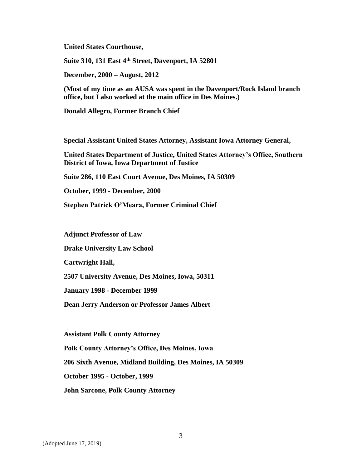**United States Courthouse,** 

**Suite 310, 131 East 4th Street, Davenport, IA 52801** 

**December, 2000 – August, 2012**

**(Most of my time as an AUSA was spent in the Davenport/Rock Island branch office, but I also worked at the main office in Des Moines.)**

**Donald Allegro, Former Branch Chief**

**Special Assistant United States Attorney, Assistant Iowa Attorney General,**

**United States Department of Justice, United States Attorney's Office, Southern District of Iowa, Iowa Department of Justice** 

**Suite 286, 110 East Court Avenue, Des Moines, IA 50309**

**October, 1999 - December, 2000**

**Stephen Patrick O'Meara, Former Criminal Chief**

**Adjunct Professor of Law**

**Drake University Law School**

**Cartwright Hall,**

**2507 University Avenue, Des Moines, Iowa, 50311** 

**January 1998 - December 1999**

**Dean Jerry Anderson or Professor James Albert**

**Assistant Polk County Attorney Polk County Attorney's Office, Des Moines, Iowa 206 Sixth Avenue, Midland Building, Des Moines, IA 50309 October 1995 - October, 1999 John Sarcone, Polk County Attorney**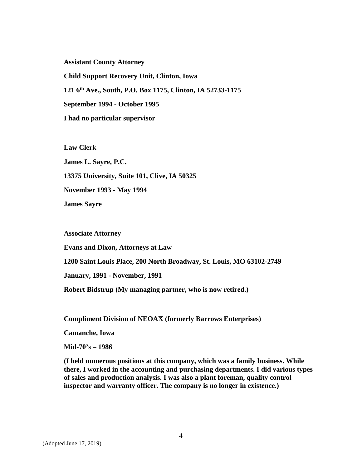**Assistant County Attorney Child Support Recovery Unit, Clinton, Iowa 121 6th Ave., South, P.O. Box 1175, Clinton, IA 52733-1175 September 1994 - October 1995 I had no particular supervisor**

**Law Clerk James L. Sayre, P.C. 13375 University, Suite 101, Clive, IA 50325 November 1993 - May 1994 James Sayre**

**Associate Attorney Evans and Dixon, Attorneys at Law 1200 Saint Louis Place, 200 North Broadway, St. Louis, MO 63102-2749 January, 1991 - November, 1991 Robert Bidstrup (My managing partner, who is now retired.)**

**Compliment Division of NEOAX (formerly Barrows Enterprises)**

**Camanche, Iowa**

**Mid-70's – 1986**

**(I held numerous positions at this company, which was a family business. While there, I worked in the accounting and purchasing departments. I did various types of sales and production analysis. I was also a plant foreman, quality control inspector and warranty officer. The company is no longer in existence.)**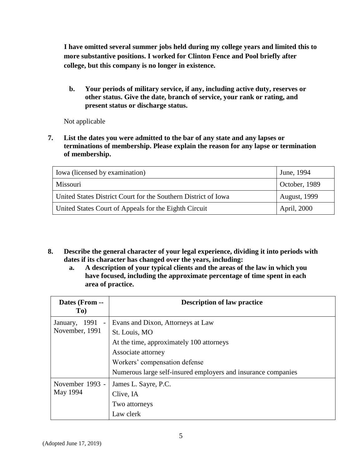**I have omitted several summer jobs held during my college years and limited this to more substantive positions. I worked for Clinton Fence and Pool briefly after college, but this company is no longer in existence.**

**b. Your periods of military service, if any, including active duty, reserves or other status. Give the date, branch of service, your rank or rating, and present status or discharge status.** 

Not applicable

**7. List the dates you were admitted to the bar of any state and any lapses or terminations of membership. Please explain the reason for any lapse or termination of membership.**

| Iowa (licensed by examination)                                 | June, 1994          |
|----------------------------------------------------------------|---------------------|
| Missouri                                                       | October, 1989       |
| United States District Court for the Southern District of Iowa | <b>August, 1999</b> |
| United States Court of Appeals for the Eighth Circuit          | April, 2000         |

- **8. Describe the general character of your legal experience, dividing it into periods with dates if its character has changed over the years, including:**
	- **a. A description of your typical clients and the areas of the law in which you have focused, including the approximate percentage of time spent in each area of practice.**

| Dates (From --<br>To)                                | <b>Description of law practice</b>                                                                                                                    |
|------------------------------------------------------|-------------------------------------------------------------------------------------------------------------------------------------------------------|
| 1991<br>January,<br>$\blacksquare$<br>November, 1991 | Evans and Dixon, Attorneys at Law<br>St. Louis, MO<br>At the time, approximately 100 attorneys<br>Associate attorney<br>Workers' compensation defense |
|                                                      | Numerous large self-insured employers and insurance companies                                                                                         |
| November 1993 -<br>May 1994                          | James L. Sayre, P.C.<br>Clive, IA<br>Two attorneys<br>Law clerk                                                                                       |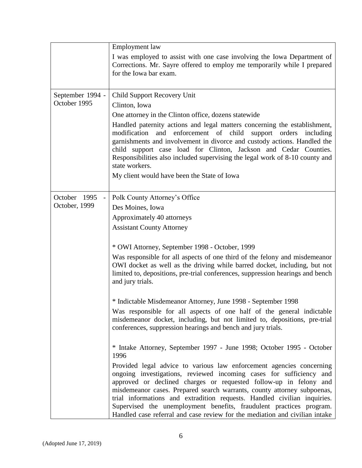|                                  | <b>Employment</b> law                                                                                                                                                                                                                                                                                                                                                                                                                                                                                                                                                                                          |
|----------------------------------|----------------------------------------------------------------------------------------------------------------------------------------------------------------------------------------------------------------------------------------------------------------------------------------------------------------------------------------------------------------------------------------------------------------------------------------------------------------------------------------------------------------------------------------------------------------------------------------------------------------|
|                                  | I was employed to assist with one case involving the Iowa Department of<br>Corrections. Mr. Sayre offered to employ me temporarily while I prepared<br>for the Iowa bar exam.                                                                                                                                                                                                                                                                                                                                                                                                                                  |
| September 1994 -<br>October 1995 | Child Support Recovery Unit<br>Clinton, Iowa<br>One attorney in the Clinton office, dozens statewide<br>Handled paternity actions and legal matters concerning the establishment,<br>modification<br>and enforcement of child<br>support orders including<br>garnishments and involvement in divorce and custody actions. Handled the<br>child support case load for Clinton, Jackson and Cedar Counties.<br>Responsibilities also included supervising the legal work of 8-10 county and<br>state workers.<br>My client would have been the State of Iowa                                                     |
| October 1995<br>October, 1999    | Polk County Attorney's Office<br>Des Moines, Iowa<br>Approximately 40 attorneys<br><b>Assistant County Attorney</b><br>* OWI Attorney, September 1998 - October, 1999<br>Was responsible for all aspects of one third of the felony and misdemeanor                                                                                                                                                                                                                                                                                                                                                            |
|                                  | OWI docket as well as the driving while barred docket, including, but not<br>limited to, depositions, pre-trial conferences, suppression hearings and bench<br>and jury trials.<br>* Indictable Misdemeanor Attorney, June 1998 - September 1998<br>Was responsible for all aspects of one half of the general indictable<br>misdemeanor docket, including, but not limited to, depositions, pre-trial<br>conferences, suppression hearings and bench and jury trials.                                                                                                                                         |
|                                  | * Intake Attorney, September 1997 - June 1998; October 1995 - October<br>1996<br>Provided legal advice to various law enforcement agencies concerning<br>ongoing investigations, reviewed incoming cases for sufficiency and<br>approved or declined charges or requested follow-up in felony and<br>misdemeanor cases. Prepared search warrants, county attorney subpoenas,<br>trial informations and extradition requests. Handled civilian inquiries.<br>Supervised the unemployment benefits, fraudulent practices program.<br>Handled case referral and case review for the mediation and civilian intake |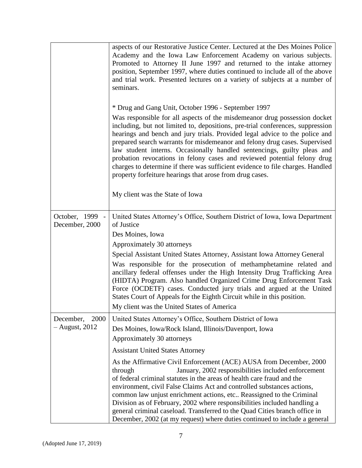|                                   | aspects of our Restorative Justice Center. Lectured at the Des Moines Police<br>Academy and the Iowa Law Enforcement Academy on various subjects.<br>Promoted to Attorney II June 1997 and returned to the intake attorney<br>position, September 1997, where duties continued to include all of the above<br>and trial work. Presented lectures on a variety of subjects at a number of<br>seminars.                                                                                                                                                                                                                                                                                                                   |
|-----------------------------------|-------------------------------------------------------------------------------------------------------------------------------------------------------------------------------------------------------------------------------------------------------------------------------------------------------------------------------------------------------------------------------------------------------------------------------------------------------------------------------------------------------------------------------------------------------------------------------------------------------------------------------------------------------------------------------------------------------------------------|
|                                   | * Drug and Gang Unit, October 1996 - September 1997<br>Was responsible for all aspects of the misdemeanor drug possession docket<br>including, but not limited to, depositions, pre-trial conferences, suppression<br>hearings and bench and jury trials. Provided legal advice to the police and<br>prepared search warrants for misdemeanor and felony drug cases. Supervised<br>law student interns. Occasionally handled sentencings, guilty pleas and<br>probation revocations in felony cases and reviewed potential felony drug<br>charges to determine if there was sufficient evidence to file charges. Handled<br>property forfeiture hearings that arose from drug cases.<br>My client was the State of Iowa |
| October, 1999 -<br>December, 2000 | United States Attorney's Office, Southern District of Iowa, Iowa Department<br>of Justice                                                                                                                                                                                                                                                                                                                                                                                                                                                                                                                                                                                                                               |
|                                   | Des Moines, Iowa                                                                                                                                                                                                                                                                                                                                                                                                                                                                                                                                                                                                                                                                                                        |
|                                   | Approximately 30 attorneys                                                                                                                                                                                                                                                                                                                                                                                                                                                                                                                                                                                                                                                                                              |
|                                   | Special Assistant United States Attorney, Assistant Iowa Attorney General                                                                                                                                                                                                                                                                                                                                                                                                                                                                                                                                                                                                                                               |
|                                   | Was responsible for the prosecution of methamphetamine related and<br>ancillary federal offenses under the High Intensity Drug Trafficking Area<br>(HIDTA) Program. Also handled Organized Crime Drug Enforcement Task<br>Force (OCDETF) cases. Conducted jury trials and argued at the United<br>States Court of Appeals for the Eighth Circuit while in this position.<br>My client was the United States of America                                                                                                                                                                                                                                                                                                  |
| 2000<br>December,                 | United States Attorney's Office, Southern District of Iowa                                                                                                                                                                                                                                                                                                                                                                                                                                                                                                                                                                                                                                                              |
| $-$ August, 2012                  | Des Moines, Iowa/Rock Island, Illinois/Davenport, Iowa                                                                                                                                                                                                                                                                                                                                                                                                                                                                                                                                                                                                                                                                  |
|                                   | Approximately 30 attorneys                                                                                                                                                                                                                                                                                                                                                                                                                                                                                                                                                                                                                                                                                              |
|                                   | <b>Assistant United States Attorney</b>                                                                                                                                                                                                                                                                                                                                                                                                                                                                                                                                                                                                                                                                                 |
|                                   | As the Affirmative Civil Enforcement (ACE) AUSA from December, 2000<br>January, 2002 responsibilities included enforcement<br>through<br>of federal criminal statutes in the areas of health care fraud and the<br>environment, civil False Claims Act and controlled substances actions,<br>common law unjust enrichment actions, etc Reassigned to the Criminal<br>Division as of February, 2002 where responsibilities included handling a<br>general criminal caseload. Transferred to the Quad Cities branch office in<br>December, 2002 (at my request) where duties continued to include a general                                                                                                               |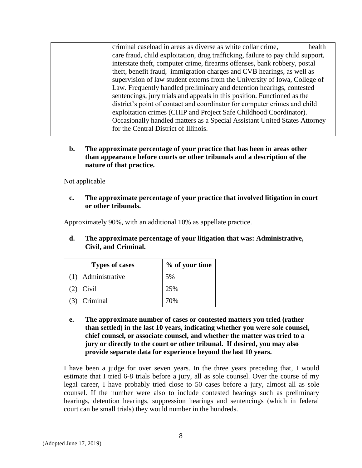| criminal caseload in areas as diverse as white collar crime,                    | health |
|---------------------------------------------------------------------------------|--------|
| care fraud, child exploitation, drug trafficking, failure to pay child support, |        |
| interstate theft, computer crime, firearms offenses, bank robbery, postal       |        |
| theft, benefit fraud, immigration charges and CVB hearings, as well as          |        |
| supervision of law student externs from the University of Iowa, College of      |        |
| Law. Frequently handled preliminary and detention hearings, contested           |        |
| sentencings, jury trials and appeals in this position. Functioned as the        |        |
| district's point of contact and coordinator for computer crimes and child       |        |
| exploitation crimes (CHIP and Project Safe Childhood Coordinator).              |        |
| Occasionally handled matters as a Special Assistant United States Attorney      |        |
| for the Central District of Illinois.                                           |        |
|                                                                                 |        |

**b. The approximate percentage of your practice that has been in areas other than appearance before courts or other tribunals and a description of the nature of that practice.**

Not applicable

**c. The approximate percentage of your practice that involved litigation in court or other tribunals.**

Approximately 90%, with an additional 10% as appellate practice.

**d. The approximate percentage of your litigation that was: Administrative, Civil, and Criminal.**

| <b>Types of cases</b> | % of your time |
|-----------------------|----------------|
| (1) Administrative    | 5%             |
| $(2)$ Civil           | 25%            |
| (3) Criminal          | 70%            |

**e. The approximate number of cases or contested matters you tried (rather than settled) in the last 10 years, indicating whether you were sole counsel, chief counsel, or associate counsel, and whether the matter was tried to a jury or directly to the court or other tribunal. If desired, you may also provide separate data for experience beyond the last 10 years.** 

I have been a judge for over seven years. In the three years preceding that, I would estimate that I tried 6-8 trials before a jury, all as sole counsel. Over the course of my legal career, I have probably tried close to 50 cases before a jury, almost all as sole counsel. If the number were also to include contested hearings such as preliminary hearings, detention hearings, suppression hearings and sentencings (which in federal court can be small trials) they would number in the hundreds.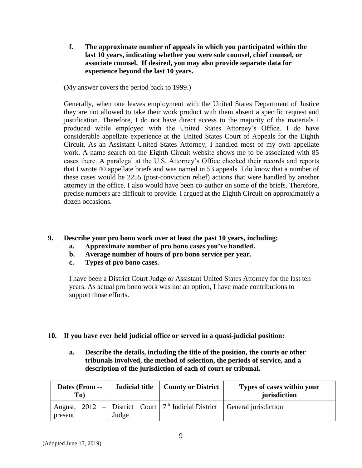**f. The approximate number of appeals in which you participated within the last 10 years, indicating whether you were sole counsel, chief counsel, or associate counsel. If desired, you may also provide separate data for experience beyond the last 10 years.**

(My answer covers the period back to 1999.)

Generally, when one leaves employment with the United States Department of Justice they are not allowed to take their work product with them absent a specific request and justification. Therefore, I do not have direct access to the majority of the materials I produced while employed with the United States Attorney's Office. I do have considerable appellate experience at the United States Court of Appeals for the Eighth Circuit. As an Assistant United States Attorney, I handled most of my own appellate work. A name search on the Eighth Circuit website shows me to be associated with 85 cases there. A paralegal at the U.S. Attorney's Office checked their records and reports that I wrote 40 appellate briefs and was named in 53 appeals. I do know that a number of these cases would be 2255 (post-conviction relief) actions that were handled by another attorney in the office. I also would have been co-author on some of the briefs. Therefore, precise numbers are difficult to provide. I argued at the Eighth Circuit on approximately a dozen occasions.

- **9. Describe your pro bono work over at least the past 10 years, including:**
	- **a. Approximate number of pro bono cases you've handled.**
	- **b. Average number of hours of pro bono service per year.**
	- **c. Types of pro bono cases.**

I have been a District Court Judge or Assistant United States Attorney for the last ten years. As actual pro bono work was not an option, I have made contributions to support those efforts.

- **10. If you have ever held judicial office or served in a quasi-judicial position:**
	- **a. Describe the details, including the title of the position, the courts or other tribunals involved, the method of selection, the periods of service, and a description of the jurisdiction of each of court or tribunal.**

| Dates (From --<br>To) | Judicial title | <b>County or District</b>                             | Types of cases within your<br>jurisdiction |
|-----------------------|----------------|-------------------------------------------------------|--------------------------------------------|
| present               | Judge          | August, 2012 – District Court $7th$ Judicial District | General jurisdiction                       |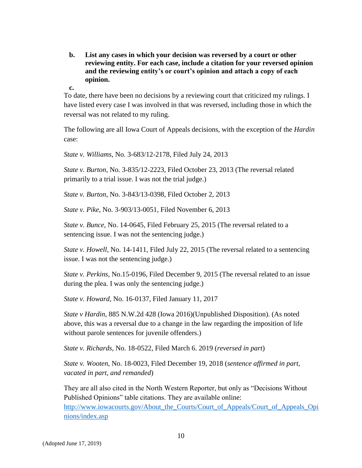- **b. List any cases in which your decision was reversed by a court or other reviewing entity. For each case, include a citation for your reversed opinion and the reviewing entity's or court's opinion and attach a copy of each opinion.**
- **c.**

To date, there have been no decisions by a reviewing court that criticized my rulings. I have listed every case I was involved in that was reversed, including those in which the reversal was not related to my ruling.

The following are all Iowa Court of Appeals decisions, with the exception of the *Hardin* case:

*State v. Williams*, No. 3-683/12-2178, Filed July 24, 2013

*State v. Burton*, No. 3-835/12-2223, Filed October 23, 2013 (The reversal related primarily to a trial issue. I was not the trial judge.)

*State v. Burton*, No. 3-843/13-0398, Filed October 2, 2013

*State v. Pike*, No. 3-903/13-0051, Filed November 6, 2013

*State v. Bunce*, No. 14-0645, Filed February 25, 2015 (The reversal related to a sentencing issue. I was not the sentencing judge.)

*State v. Howell*, No. 14-1411, Filed July 22, 2015 (The reversal related to a sentencing issue. I was not the sentencing judge.)

*State v. Perkins*, No.15-0196, Filed December 9, 2015 (The reversal related to an issue during the plea. I was only the sentencing judge.)

*State v. Howard*, No. 16-0137, Filed January 11, 2017

*State v Hardin*, 885 N.W.2d 428 (Iowa 2016)(Unpublished Disposition). (As noted above, this was a reversal due to a change in the law regarding the imposition of life without parole sentences for juvenile offenders.)

*State v. Richards*, No. 18-0522, Filed March 6. 2019 (*reversed in part*)

*State v. Wooten*, No. 18-0023, Filed December 19, 2018 (*sentence affirmed in part, vacated in part, and remanded*)

They are all also cited in the North Western Reporter, but only as "Decisions Without Published Opinions" table citations. They are available online: [http://www.iowacourts.gov/About\\_the\\_Courts/Court\\_of\\_Appeals/Court\\_of\\_Appeals\\_Opi](http://www.iowacourts.gov/About_the_Courts/Court_of_Appeals/Court_of_Appeals_Opinions/index.asp) [nions/index.asp](http://www.iowacourts.gov/About_the_Courts/Court_of_Appeals/Court_of_Appeals_Opinions/index.asp)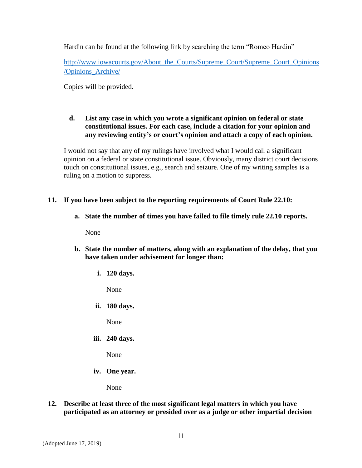Hardin can be found at the following link by searching the term "Romeo Hardin"

[http://www.iowacourts.gov/About\\_the\\_Courts/Supreme\\_Court/Supreme\\_Court\\_Opinions](http://www.iowacourts.gov/About_the_Courts/Supreme_Court/Supreme_Court_Opinions/Opinions_Archive/) [/Opinions\\_Archive/](http://www.iowacourts.gov/About_the_Courts/Supreme_Court/Supreme_Court_Opinions/Opinions_Archive/)

Copies will be provided.

# **d. List any case in which you wrote a significant opinion on federal or state constitutional issues. For each case, include a citation for your opinion and any reviewing entity's or court's opinion and attach a copy of each opinion.**

I would not say that any of my rulings have involved what I would call a significant opinion on a federal or state constitutional issue. Obviously, many district court decisions touch on constitutional issues, e.g., search and seizure. One of my writing samples is a ruling on a motion to suppress.

# **11. If you have been subject to the reporting requirements of Court Rule 22.10:**

**a. State the number of times you have failed to file timely rule 22.10 reports.**

None

- **b. State the number of matters, along with an explanation of the delay, that you have taken under advisement for longer than:** 
	- **i. 120 days.**

None

**ii. 180 days.**

None

**iii. 240 days.**

None

**iv. One year.**

None

**12. Describe at least three of the most significant legal matters in which you have participated as an attorney or presided over as a judge or other impartial decision**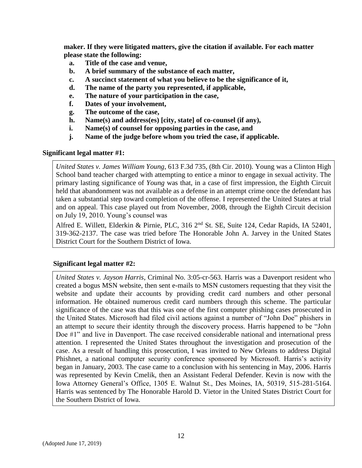**maker. If they were litigated matters, give the citation if available. For each matter please state the following:**

- **a. Title of the case and venue,**
- **b. A brief summary of the substance of each matter,**
- **c. A succinct statement of what you believe to be the significance of it,**
- **d. The name of the party you represented, if applicable,**
- **e. The nature of your participation in the case,**
- **f. Dates of your involvement,**
- **g. The outcome of the case,**
- **h. Name(s) and address(es) [city, state] of co-counsel (if any),**
- **i. Name(s) of counsel for opposing parties in the case, and**
- **j. Name of the judge before whom you tried the case, if applicable.**

#### **Significant legal matter #1:**

*United States v. James William Young*, 613 F.3d 735, (8th Cir. 2010). Young was a Clinton High School band teacher charged with attempting to entice a minor to engage in sexual activity. The primary lasting significance of *Young* was that, in a case of first impression, the Eighth Circuit held that abandonment was not available as a defense in an attempt crime once the defendant has taken a substantial step toward completion of the offense. I represented the United States at trial and on appeal. This case played out from November, 2008, through the Eighth Circuit decision on July 19, 2010. Young's counsel was

Alfred E. Willett, Elderkin & Pirnie, PLC, 316 2nd St. SE, Suite 124, Cedar Rapids, IA 52401, 319-362-2137. The case was tried before The Honorable John A. Jarvey in the United States District Court for the Southern District of Iowa.

# **Significant legal matter #2:**

*United States v. Jayson Harris*, Criminal No. 3:05-cr-563. Harris was a Davenport resident who created a bogus MSN website, then sent e-mails to MSN customers requesting that they visit the website and update their accounts by providing credit card numbers and other personal information. He obtained numerous credit card numbers through this scheme. The particular significance of the case was that this was one of the first computer phishing cases prosecuted in the United States. Microsoft had filed civil actions against a number of "John Doe" phishers in an attempt to secure their identity through the discovery process. Harris happened to be "John Doe #1" and live in Davenport. The case received considerable national and international press attention. I represented the United States throughout the investigation and prosecution of the case. As a result of handling this prosecution, I was invited to New Orleans to address Digital Phishnet, a national computer security conference sponsored by Microsoft. Harris's activity began in January, 2003. The case came to a conclusion with his sentencing in May, 2006. Harris was represented by Kevin Cmelik, then an Assistant Federal Defender. Kevin is now with the Iowa Attorney General's Office, 1305 E. Walnut St., Des Moines, IA, 50319, 515-281-5164. Harris was sentenced by The Honorable Harold D. Vietor in the United States District Court for the Southern District of Iowa.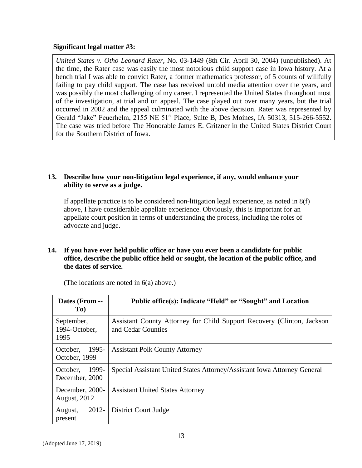#### **Significant legal matter #3:**

*United States v. Otho Leonard Rater*, No. 03-1449 (8th Cir. April 30, 2004) (unpublished). At the time, the Rater case was easily the most notorious child support case in Iowa history. At a bench trial I was able to convict Rater, a former mathematics professor, of 5 counts of willfully failing to pay child support. The case has received untold media attention over the years, and was possibly the most challenging of my career. I represented the United States throughout most of the investigation, at trial and on appeal. The case played out over many years, but the trial occurred in 2002 and the appeal culminated with the above decision. Rater was represented by Gerald "Jake" Feuerhelm, 2155 NE 51st Place, Suite B, Des Moines, IA 50313, 515-266-5552. The case was tried before The Honorable James E. Gritzner in the United States District Court for the Southern District of Iowa.

# **13. Describe how your non-litigation legal experience, if any, would enhance your ability to serve as a judge.**

If appellate practice is to be considered non-litigation legal experience, as noted in 8(f) above, I have considerable appellate experience. Obviously, this is important for an appellate court position in terms of understanding the process, including the roles of advocate and judge.

#### **14. If you have ever held public office or have you ever been a candidate for public office, describe the public office held or sought, the location of the public office, and the dates of service.**

| Dates (From --<br>To)                  | Public office(s): Indicate "Held" or "Sought" and Location                                   |
|----------------------------------------|----------------------------------------------------------------------------------------------|
| September,<br>1994-October,<br>1995    | Assistant County Attorney for Child Support Recovery (Clinton, Jackson<br>and Cedar Counties |
| 1995-<br>October,<br>October, 1999     | <b>Assistant Polk County Attorney</b>                                                        |
| 1999-<br>October,<br>December, 2000    | Special Assistant United States Attorney/Assistant Iowa Attorney General                     |
| December, 2000-<br><b>August, 2012</b> | <b>Assistant United States Attorney</b>                                                      |
| $2012 -$<br>August,<br>present         | District Court Judge                                                                         |

(The locations are noted in 6(a) above.)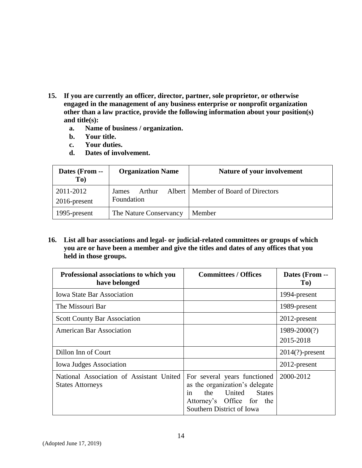- **15. If you are currently an officer, director, partner, sole proprietor, or otherwise engaged in the management of any business enterprise or nonprofit organization other than a law practice, provide the following information about your position(s) and title(s):** 
	- **a. Name of business / organization.**
	- **b. Your title.**
	- **c. Your duties.**
	- **d. Dates of involvement.**

| Dates (From --<br>To)        | <b>Organization Name</b>      | Nature of your involvement            |
|------------------------------|-------------------------------|---------------------------------------|
| 2011-2012<br>$2016$ -present | Arthur<br>James<br>Foundation | Albert   Member of Board of Directors |
| 1995-present                 | The Nature Conservancy        | Member                                |

**16. List all bar associations and legal- or judicial-related committees or groups of which you are or have been a member and give the titles and dates of any offices that you held in those groups.** 

| Professional associations to which you<br>have belonged             | <b>Committees / Offices</b>                                                                                                                         | Dates (From --<br>To)     |
|---------------------------------------------------------------------|-----------------------------------------------------------------------------------------------------------------------------------------------------|---------------------------|
| <b>Iowa State Bar Association</b>                                   |                                                                                                                                                     | 1994-present              |
| The Missouri Bar                                                    |                                                                                                                                                     | 1989-present              |
| <b>Scott County Bar Association</b>                                 |                                                                                                                                                     | 2012-present              |
| <b>American Bar Association</b>                                     |                                                                                                                                                     | 1989-2000(?)<br>2015-2018 |
| Dillon Inn of Court                                                 |                                                                                                                                                     | $2014(?)$ -present        |
| <b>Iowa Judges Association</b>                                      |                                                                                                                                                     | 2012-present              |
| National Association of Assistant United<br><b>States Attorneys</b> | For several years functioned<br>as the organization's delegate<br>the United States<br>in<br>Attorney's Office for the<br>Southern District of Iowa | 2000-2012                 |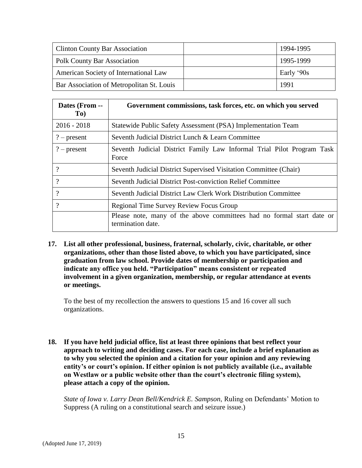| <b>Clinton County Bar Association</b>     | 1994-1995  |
|-------------------------------------------|------------|
| Polk County Bar Association               | 1995-1999  |
| American Society of International Law     | Early '90s |
| Bar Association of Metropolitan St. Louis | 1991       |

| Dates (From --<br>To) | Government commissions, task forces, etc. on which you served                              |
|-----------------------|--------------------------------------------------------------------------------------------|
| $2016 - 2018$         | Statewide Public Safety Assessment (PSA) Implementation Team                               |
| $?$ – present         | Seventh Judicial District Lunch & Learn Committee                                          |
| $?$ – present         | Seventh Judicial District Family Law Informal Trial Pilot Program Task<br>Force            |
| $\gamma$              | Seventh Judicial District Supervised Visitation Committee (Chair)                          |
| $\gamma$              | <b>Seventh Judicial District Post-conviction Relief Committee</b>                          |
| $\gamma$              | Seventh Judicial District Law Clerk Work Distribution Committee                            |
| $\gamma$              | <b>Regional Time Survey Review Focus Group</b>                                             |
|                       | Please note, many of the above committees had no formal start date or<br>termination date. |

**17. List all other professional, business, fraternal, scholarly, civic, charitable, or other organizations, other than those listed above, to which you have participated, since graduation from law school. Provide dates of membership or participation and indicate any office you held. "Participation" means consistent or repeated involvement in a given organization, membership, or regular attendance at events or meetings.** 

To the best of my recollection the answers to questions 15 and 16 cover all such organizations.

**18. If you have held judicial office, list at least three opinions that best reflect your approach to writing and deciding cases. For each case, include a brief explanation as to why you selected the opinion and a citation for your opinion and any reviewing entity's or court's opinion. If either opinion is not publicly available (i.e., available on Westlaw or a public website other than the court's electronic filing system), please attach a copy of the opinion.**

*State of Iowa v. Larry Dean Bell/Kendrick E. Sampson*, Ruling on Defendants' Motion to Suppress (A ruling on a constitutional search and seizure issue.)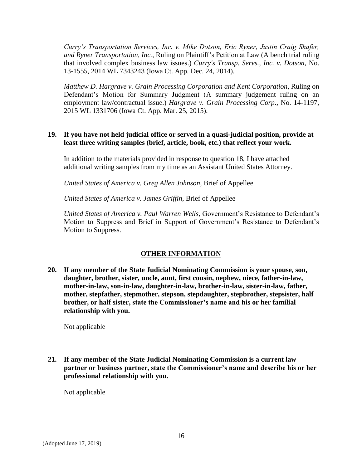*Curry's Transportation Services, Inc. v. Mike Dotson, Eric Ryner, Justin Craig Shafer, and Ryner Transportation, Inc.*, Ruling on Plaintiff's Petition at Law (A bench trial ruling that involved complex business law issues.) *Curry's Transp. Servs., Inc. v. Dotson*, No. 13-1555, 2014 WL 7343243 (Iowa Ct. App. Dec. 24, 2014).

*Matthew D. Hargrave v. Grain Processing Corporation and Kent Corporation*, Ruling on Defendant's Motion for Summary Judgment (A summary judgement ruling on an employment law/contractual issue.) *Hargrave v. Grain Processing Corp*., No. 14-1197, 2015 WL 1331706 (Iowa Ct. App. Mar. 25, 2015).

#### **19. If you have not held judicial office or served in a quasi-judicial position, provide at least three writing samples (brief, article, book, etc.) that reflect your work.**

In addition to the materials provided in response to question 18, I have attached additional writing samples from my time as an Assistant United States Attorney.

*United States of America v. Greg Allen Johnson*, Brief of Appellee

*United States of America v. James Griffin*, Brief of Appellee

*United States of America v. Paul Warren Wells*, Government's Resistance to Defendant's Motion to Suppress and Brief in Support of Government's Resistance to Defendant's Motion to Suppress.

# **OTHER INFORMATION**

**20. If any member of the State Judicial Nominating Commission is your spouse, son, daughter, brother, sister, uncle, aunt, first cousin, nephew, niece, father-in-law, mother-in-law, son-in-law, daughter-in-law, brother-in-law, sister-in-law, father, mother, stepfather, stepmother, stepson, stepdaughter, stepbrother, stepsister, half brother, or half sister, state the Commissioner's name and his or her familial relationship with you.**

Not applicable

**21. If any member of the State Judicial Nominating Commission is a current law partner or business partner, state the Commissioner's name and describe his or her professional relationship with you.**

Not applicable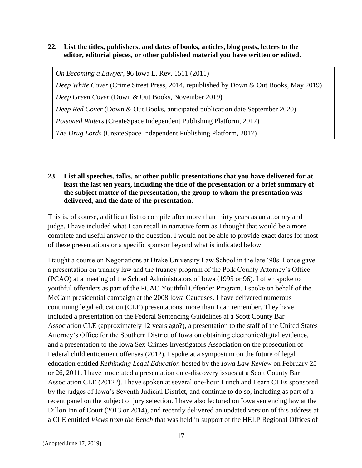### **22. List the titles, publishers, and dates of books, articles, blog posts, letters to the editor, editorial pieces, or other published material you have written or edited.**

*On Becoming a Lawyer*, 96 Iowa L. Rev. 1511 (2011)

*Deep White Cover* (Crime Street Press, 2014, republished by Down & Out Books, May 2019)

*Deep Green Cover* (Down & Out Books, November 2019)

*Deep Red Cover* (Down & Out Books, anticipated publication date September 2020)

*Poisoned Waters* (CreateSpace Independent Publishing Platform, 2017)

*The Drug Lords* (CreateSpace Independent Publishing Platform, 2017)

# **23. List all speeches, talks, or other public presentations that you have delivered for at least the last ten years, including the title of the presentation or a brief summary of the subject matter of the presentation, the group to whom the presentation was delivered, and the date of the presentation.**

This is, of course, a difficult list to compile after more than thirty years as an attorney and judge. I have included what I can recall in narrative form as I thought that would be a more complete and useful answer to the question. I would not be able to provide exact dates for most of these presentations or a specific sponsor beyond what is indicated below.

I taught a course on Negotiations at Drake University Law School in the late '90s. I once gave a presentation on truancy law and the truancy program of the Polk County Attorney's Office (PCAO) at a meeting of the School Administrators of Iowa (1995 or 96). I often spoke to youthful offenders as part of the PCAO Youthful Offender Program. I spoke on behalf of the McCain presidential campaign at the 2008 Iowa Caucuses. I have delivered numerous continuing legal education (CLE) presentations, more than I can remember. They have included a presentation on the Federal Sentencing Guidelines at a Scott County Bar Association CLE (approximately 12 years ago?), a presentation to the staff of the United States Attorney's Office for the Southern District of Iowa on obtaining electronic/digital evidence, and a presentation to the Iowa Sex Crimes Investigators Association on the prosecution of Federal child enticement offenses (2012). I spoke at a symposium on the future of legal education entitled *Rethinking Legal Education* hosted by the *Iowa Law Review* on February 25 or 26, 2011. I have moderated a presentation on e-discovery issues at a Scott County Bar Association CLE (2012?). I have spoken at several one-hour Lunch and Learn CLEs sponsored by the judges of Iowa's Seventh Judicial District, and continue to do so, including as part of a recent panel on the subject of jury selection. I have also lectured on Iowa sentencing law at the Dillon Inn of Court (2013 or 2014), and recently delivered an updated version of this address at a CLE entitled *Views from the Bench* that was held in support of the HELP Regional Offices of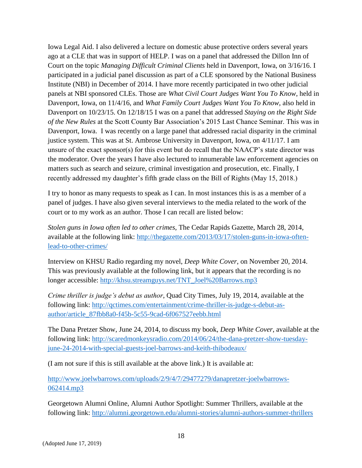Iowa Legal Aid. I also delivered a lecture on domestic abuse protective orders several years ago at a CLE that was in support of HELP. I was on a panel that addressed the Dillon Inn of Court on the topic *Managing Difficult Criminal Clients* held in Davenport, Iowa, on 3/16/16. I participated in a judicial panel discussion as part of a CLE sponsored by the National Business Institute (NBI) in December of 2014. I have more recently participated in two other judicial panels at NBI sponsored CLEs. Those are *What Civil Court Judges Want You To Know*, held in Davenport, Iowa, on 11/4/16, and *What Family Court Judges Want You To Know*, also held in Davenport on 10/23/15. On 12/18/15 I was on a panel that addressed *Staying on the Right Side of the New Rules* at the Scott County Bar Association's 2015 Last Chance Seminar. This was in Davenport, Iowa. I was recently on a large panel that addressed racial disparity in the criminal justice system. This was at St. Ambrose University in Davenport, Iowa, on 4/11/17. I am unsure of the exact sponsor(s) for this event but do recall that the NAACP's state director was the moderator. Over the years I have also lectured to innumerable law enforcement agencies on matters such as search and seizure, criminal investigation and prosecution, etc. Finally, I recently addressed my daughter's fifth grade class on the Bill of Rights (May 15, 2018.)

I try to honor as many requests to speak as I can. In most instances this is as a member of a panel of judges. I have also given several interviews to the media related to the work of the court or to my work as an author. Those I can recall are listed below:

*Stolen guns in Iowa often led to other crimes*, The Cedar Rapids Gazette, March 28, 2014, available at the following link: [http://thegazette.com/2013/03/17/stolen-guns-in-iowa-often](http://thegazette.com/2013/03/17/stolen-guns-in-iowa-often-lead-to-other-crimes/)[lead-to-other-crimes/](http://thegazette.com/2013/03/17/stolen-guns-in-iowa-often-lead-to-other-crimes/)

Interview on KHSU Radio regarding my novel, *Deep White Cover*, on November 20, 2014. This was previously available at the following link, but it appears that the recording is no longer accessible: [http://khsu.streamguys.net/TNT\\_Joel%20Barrows.mp3](http://khsu.streamguys.net/TNT_Joel%20Barrows.mp3)

*Crime thriller is judge's debut as author*, Quad City Times, July 19, 2014, available at the following link: [http://qctimes.com/entertainment/crime-thriller-is-judge-s-debut-as](http://qctimes.com/entertainment/crime-thriller-is-judge-s-debut-as-author/article_87fbb8a0-f45b-5c55-9cad-6f067527eebb.html)[author/article\\_87fbb8a0-f45b-5c55-9cad-6f067527eebb.html](http://qctimes.com/entertainment/crime-thriller-is-judge-s-debut-as-author/article_87fbb8a0-f45b-5c55-9cad-6f067527eebb.html)

The Dana Pretzer Show, June 24, 2014, to discuss my book, *Deep White Cover*, available at the following link: [http://scaredmonkeysradio.com/2014/06/24/the-dana-pretzer-show-tuesday](http://scaredmonkeysradio.com/2014/06/24/the-dana-pretzer-show-tuesday-june-24-2014-with-special-guests-joel-barrows-and-keith-thibodeaux/)[june-24-2014-with-special-guests-joel-barrows-and-keith-thibodeaux/](http://scaredmonkeysradio.com/2014/06/24/the-dana-pretzer-show-tuesday-june-24-2014-with-special-guests-joel-barrows-and-keith-thibodeaux/)

(I am not sure if this is still available at the above link.) It is available at:

[http://www.joelwbarrows.com/uploads/2/9/4/7/29477279/danapretzer-joelwbarrows-](http://www.joelwbarrows.com/uploads/2/9/4/7/29477279/danapretzer-joelwbarrows-062414.mp3)[062414.mp3](http://www.joelwbarrows.com/uploads/2/9/4/7/29477279/danapretzer-joelwbarrows-062414.mp3)

Georgetown Alumni Online, Alumni Author Spotlight: Summer Thrillers, available at the following link:<http://alumni.georgetown.edu/alumni-stories/alumni-authors-summer-thrillers>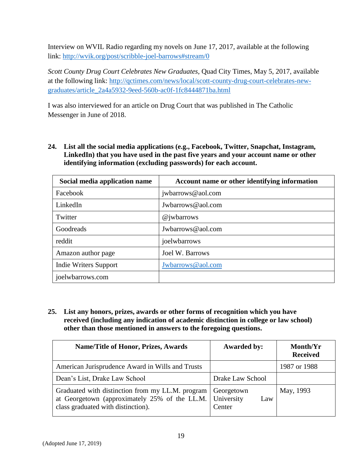Interview on WVIL Radio regarding my novels on June 17, 2017, available at the following link:<http://wvik.org/post/scribble-joel-barrows#stream/0>

*Scott County Drug Court Celebrates New Graduates*, Quad City Times, May 5, 2017, available at the following link: [http://qctimes.com/news/local/scott-county-drug-court-celebrates-new](http://qctimes.com/news/local/scott-county-drug-court-celebrates-new-graduates/article_2a4a5932-9eed-560b-ac0f-1fc8444871ba.html)[graduates/article\\_2a4a5932-9eed-560b-ac0f-1fc8444871ba.html](http://qctimes.com/news/local/scott-county-drug-court-celebrates-new-graduates/article_2a4a5932-9eed-560b-ac0f-1fc8444871ba.html)

I was also interviewed for an article on Drug Court that was published in The Catholic Messenger in June of 2018.

**24. List all the social media applications (e.g., Facebook, Twitter, Snapchat, Instagram, LinkedIn) that you have used in the past five years and your account name or other identifying information (excluding passwords) for each account.**

| Social media application name | Account name or other identifying information |  |
|-------------------------------|-----------------------------------------------|--|
| Facebook                      | jwbarrows@aol.com                             |  |
| LinkedIn                      | Jwbarrows@aol.com                             |  |
| Twitter                       | @jwharrows                                    |  |
| Goodreads                     | Jwbarrows@aol.com                             |  |
| reddit                        | joelwbarrows                                  |  |
| Amazon author page            | Joel W. Barrows                               |  |
| Indie Writers Support         | Jwbarrows@aol.com                             |  |
| joelwbarrows.com              |                                               |  |

**25. List any honors, prizes, awards or other forms of recognition which you have received (including any indication of academic distinction in college or law school) other than those mentioned in answers to the foregoing questions.**

| <b>Name/Title of Honor, Prizes, Awards</b>                                                                                              | <b>Awarded by:</b>                        | Month/Yr<br><b>Received</b> |
|-----------------------------------------------------------------------------------------------------------------------------------------|-------------------------------------------|-----------------------------|
| American Jurisprudence Award in Wills and Trusts                                                                                        |                                           | 1987 or 1988                |
| Dean's List, Drake Law School                                                                                                           | Drake Law School                          |                             |
| Graduated with distinction from my LL.M. program<br>at Georgetown (approximately 25% of the LL.M.<br>class graduated with distinction). | Georgetown<br>University<br>Law<br>Center | May, 1993                   |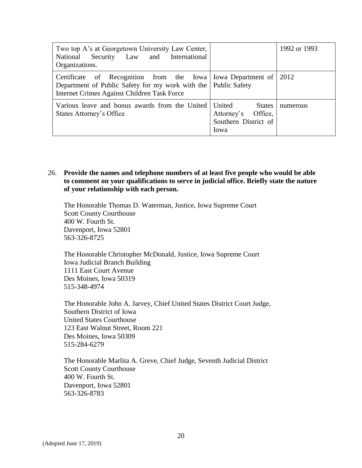| Two top A's at Georgetown University Law Center,<br>National Security Law and International<br>Organizations.                                                                         |                                                                               | 1992 or 1993 |
|---------------------------------------------------------------------------------------------------------------------------------------------------------------------------------------|-------------------------------------------------------------------------------|--------------|
| Certificate of Recognition from the Iowa   Iowa Department of   2012<br>Department of Public Safety for my work with the Public Safety<br>Internet Crimes Against Children Task Force |                                                                               |              |
| Various leave and bonus awards from the United<br>States Attorney's Office                                                                                                            | United<br><b>States</b><br>Attorney's Office,<br>Southern District of<br>Iowa | numerous     |

#### 26. **Provide the names and telephone numbers of at least five people who would be able to comment on your qualifications to serve in judicial office. Briefly state the nature of your relationship with each person.**

The Honorable Thomas D. Waterman, Justice, Iowa Supreme Court Scott County Courthouse 400 W. Fourth St. Davenport, Iowa 52801 563-326-8725

The Honorable Christopher McDonald, Justice, Iowa Supreme Court Iowa Judicial Branch Building 1111 East Court Avenue Des Moines, Iowa 50319 515-348-4974

The Honorable John A. Jarvey, Chief United States District Court Judge, Southern District of Iowa United States Courthouse 123 East Walnut Street, Room 221 Des Moines, Iowa 50309 515-284-6279

The Honorable Marlita A. Greve, Chief Judge, Seventh Judicial District Scott County Courthouse 400 W. Fourth St. Davenport, Iowa 52801 563-326-8783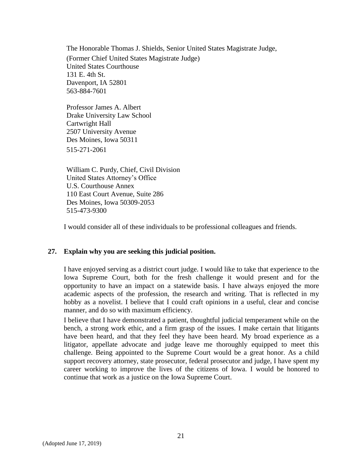The Honorable Thomas J. Shields, Senior United States Magistrate Judge, (Former Chief United States Magistrate Judge) United States Courthouse 131 E. 4th St. Davenport, IA 52801 563-884-7601

Professor James A. Albert Drake University Law School Cartwright Hall 2507 University Avenue Des Moines, Iowa 50311 515-271-2061

William C. Purdy, Chief, Civil Division United States Attorney's Office U.S. Courthouse Annex 110 East Court Avenue, Suite 286 Des Moines, Iowa 50309-2053 515-473-9300

I would consider all of these individuals to be professional colleagues and friends.

#### **27. Explain why you are seeking this judicial position.**

I have enjoyed serving as a district court judge. I would like to take that experience to the Iowa Supreme Court, both for the fresh challenge it would present and for the opportunity to have an impact on a statewide basis. I have always enjoyed the more academic aspects of the profession, the research and writing. That is reflected in my hobby as a novelist. I believe that I could craft opinions in a useful, clear and concise manner, and do so with maximum efficiency.

I believe that I have demonstrated a patient, thoughtful judicial temperament while on the bench, a strong work ethic, and a firm grasp of the issues. I make certain that litigants have been heard, and that they feel they have been heard. My broad experience as a litigator, appellate advocate and judge leave me thoroughly equipped to meet this challenge. Being appointed to the Supreme Court would be a great honor. As a child support recovery attorney, state prosecutor, federal prosecutor and judge, I have spent my career working to improve the lives of the citizens of Iowa. I would be honored to continue that work as a justice on the Iowa Supreme Court.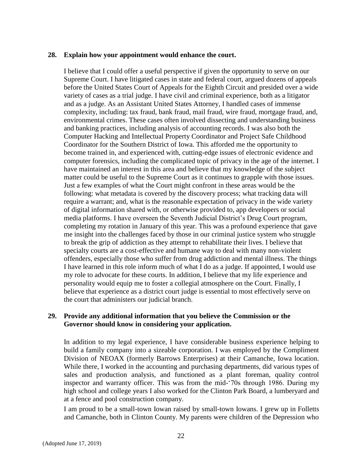#### **28. Explain how your appointment would enhance the court.**

I believe that I could offer a useful perspective if given the opportunity to serve on our Supreme Court. I have litigated cases in state and federal court, argued dozens of appeals before the United States Court of Appeals for the Eighth Circuit and presided over a wide variety of cases as a trial judge. I have civil and criminal experience, both as a litigator and as a judge. As an Assistant United States Attorney, I handled cases of immense complexity, including: tax fraud, bank fraud, mail fraud, wire fraud, mortgage fraud, and, environmental crimes. These cases often involved dissecting and understanding business and banking practices, including analysis of accounting records. I was also both the Computer Hacking and Intellectual Property Coordinator and Project Safe Childhood Coordinator for the Southern District of Iowa. This afforded me the opportunity to become trained in, and experienced with, cutting-edge issues of electronic evidence and computer forensics, including the complicated topic of privacy in the age of the internet. I have maintained an interest in this area and believe that my knowledge of the subject matter could be useful to the Supreme Court as it continues to grapple with those issues. Just a few examples of what the Court might confront in these areas would be the following: what metadata is covered by the discovery process; what tracking data will require a warrant; and, what is the reasonable expectation of privacy in the wide variety of digital information shared with, or otherwise provided to, app developers or social media platforms. I have overseen the Seventh Judicial District's Drug Court program, completing my rotation in January of this year. This was a profound experience that gave me insight into the challenges faced by those in our criminal justice system who struggle to break the grip of addiction as they attempt to rehabilitate their lives. I believe that specialty courts are a cost-effective and humane way to deal with many non-violent offenders, especially those who suffer from drug addiction and mental illness. The things I have learned in this role inform much of what I do as a judge. If appointed, I would use my role to advocate for these courts. In addition, I believe that my life experience and personality would equip me to foster a collegial atmosphere on the Court. Finally, I believe that experience as a district court judge is essential to most effectively serve on the court that administers our judicial branch.

#### **29. Provide any additional information that you believe the Commission or the Governor should know in considering your application.**

In addition to my legal experience, I have considerable business experience helping to build a family company into a sizeable corporation. I was employed by the Compliment Division of NEOAX (formerly Barrows Enterprises) at their Camanche, Iowa location. While there, I worked in the accounting and purchasing departments, did various types of sales and production analysis, and functioned as a plant foreman, quality control inspector and warranty officer. This was from the mid-'70s through 1986. During my high school and college years I also worked for the Clinton Park Board, a lumberyard and at a fence and pool construction company.

I am proud to be a small-town Iowan raised by small-town Iowans. I grew up in Folletts and Camanche, both in Clinton County. My parents were children of the Depression who